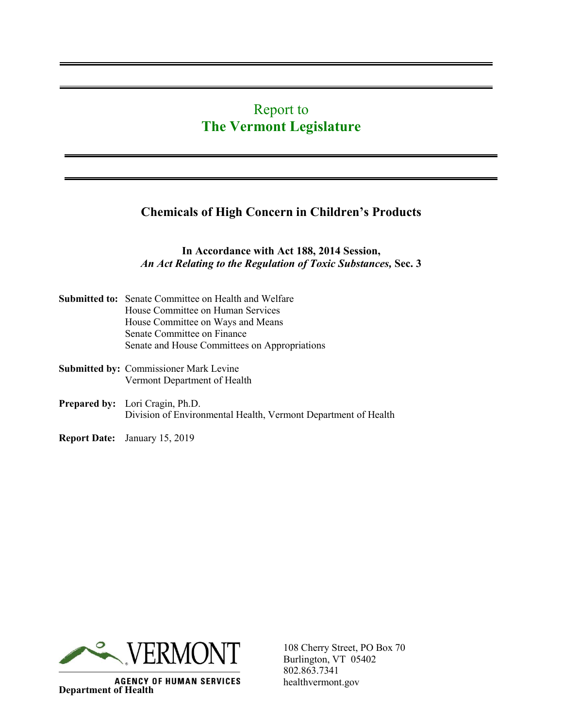# Report to **The Vermont Legislature**

## **Chemicals of High Concern in Children's Products**

#### **In Accordance with Act 188, 2014 Session,** *An Act Relating to the Regulation of Toxic Substances,* **Sec. 3**

| <b>Submitted to:</b> Senate Committee on Health and Welfare                                       |  |
|---------------------------------------------------------------------------------------------------|--|
| House Committee on Human Services                                                                 |  |
| House Committee on Ways and Means                                                                 |  |
| Senate Committee on Finance                                                                       |  |
| Senate and House Committees on Appropriations                                                     |  |
| <b>Submitted by: Commissioner Mark Levine</b>                                                     |  |
| Vermont Department of Health                                                                      |  |
| Prepared by: Lori Cragin, Ph.D.<br>Division of Environmental Health, Vermont Department of Health |  |
|                                                                                                   |  |

**Report Date:** January 15, 2019



**AGENCY OF HUMAN SERVICES Department of Health**

108 Cherry Street, PO Box 70 Burlington, VT 05402 802.863.7341 healthvermont.gov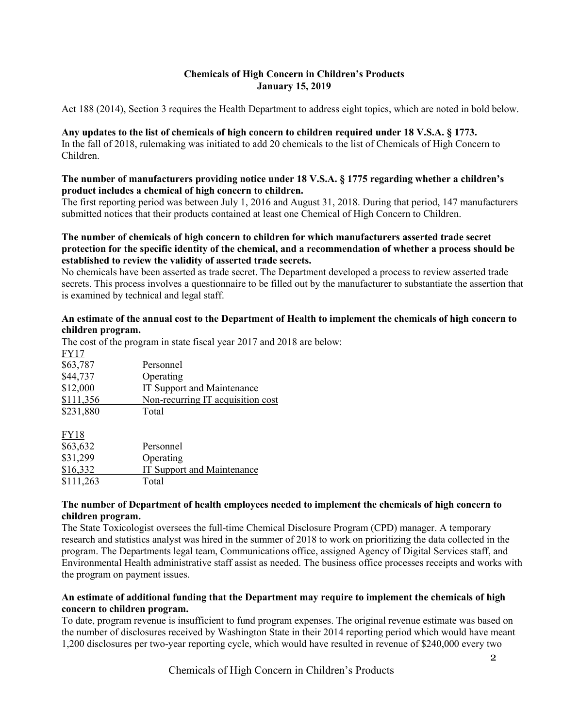#### **Chemicals of High Concern in Children's Products January 15, 2019**

Act 188 (2014), Section 3 requires the Health Department to address eight topics, which are noted in bold below.

**Any updates to the list of chemicals of high concern to children required under 18 V.S.A. § 1773.** In the fall of 2018, rulemaking was initiated to add 20 chemicals to the list of Chemicals of High Concern to Children.

#### **The number of manufacturers providing notice under 18 V.S.A. § 1775 regarding whether a children's product includes a chemical of high concern to children.**

The first reporting period was between July 1, 2016 and August 31, 2018. During that period, 147 manufacturers submitted notices that their products contained at least one Chemical of High Concern to Children.

#### **The number of chemicals of high concern to children for which manufacturers asserted trade secret protection for the specific identity of the chemical, and a recommendation of whether a process should be established to review the validity of asserted trade secrets.**

No chemicals have been asserted as trade secret. The Department developed a process to review asserted trade secrets. This process involves a questionnaire to be filled out by the manufacturer to substantiate the assertion that is examined by technical and legal staff.

#### **An estimate of the annual cost to the Department of Health to implement the chemicals of high concern to children program.**

|             | The cost of the program in state fiscal year $2017$ and $2$ |
|-------------|-------------------------------------------------------------|
| <b>FY17</b> |                                                             |
| \$63,787    | Personnel                                                   |
| \$44,737    | Operating                                                   |
| \$12,000    | IT Support and Maintenance                                  |
| \$111,356   | Non-recurring IT acquisition cost                           |
| \$231,880   | Total                                                       |
| <b>FY18</b> |                                                             |
| \$63,632    | Personnel                                                   |
| \$31,299    | Operating                                                   |
| \$16,332    | IT Support and Maintenance                                  |
| \$111,263   | Total                                                       |
|             |                                                             |

The cost of the program in state fiscal year 2017 and 2018 are below:

#### **The number of Department of health employees needed to implement the chemicals of high concern to children program.**

The State Toxicologist oversees the full-time Chemical Disclosure Program (CPD) manager. A temporary research and statistics analyst was hired in the summer of 2018 to work on prioritizing the data collected in the program. The Departments legal team, Communications office, assigned Agency of Digital Services staff, and Environmental Health administrative staff assist as needed. The business office processes receipts and works with the program on payment issues.

#### **An estimate of additional funding that the Department may require to implement the chemicals of high concern to children program.**

To date, program revenue is insufficient to fund program expenses. The original revenue estimate was based on the number of disclosures received by Washington State in their 2014 reporting period which would have meant 1,200 disclosures per two-year reporting cycle, which would have resulted in revenue of \$240,000 every two